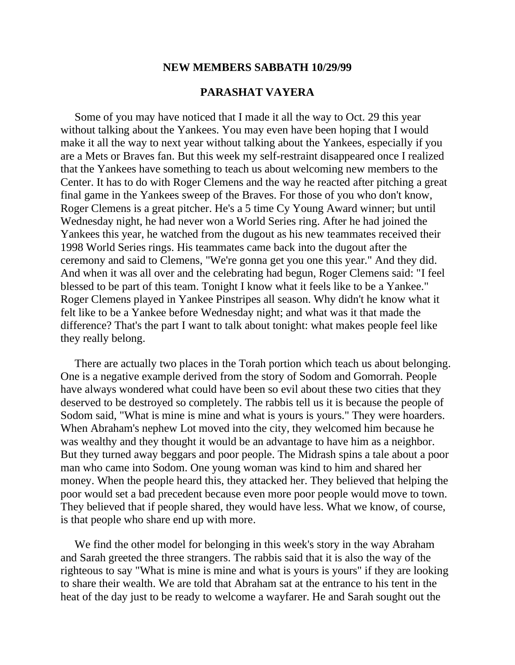## **NEW MEMBERS SABBATH 10/29/99**

## **PARASHAT VAYERA**

 Some of you may have noticed that I made it all the way to Oct. 29 this year without talking about the Yankees. You may even have been hoping that I would make it all the way to next year without talking about the Yankees, especially if you are a Mets or Braves fan. But this week my self-restraint disappeared once I realized that the Yankees have something to teach us about welcoming new members to the Center. It has to do with Roger Clemens and the way he reacted after pitching a great final game in the Yankees sweep of the Braves. For those of you who don't know, Roger Clemens is a great pitcher. He's a 5 time Cy Young Award winner; but until Wednesday night, he had never won a World Series ring. After he had joined the Yankees this year, he watched from the dugout as his new teammates received their 1998 World Series rings. His teammates came back into the dugout after the ceremony and said to Clemens, "We're gonna get you one this year." And they did. And when it was all over and the celebrating had begun, Roger Clemens said: "I feel blessed to be part of this team. Tonight I know what it feels like to be a Yankee." Roger Clemens played in Yankee Pinstripes all season. Why didn't he know what it felt like to be a Yankee before Wednesday night; and what was it that made the difference? That's the part I want to talk about tonight: what makes people feel like they really belong.

 There are actually two places in the Torah portion which teach us about belonging. One is a negative example derived from the story of Sodom and Gomorrah. People have always wondered what could have been so evil about these two cities that they deserved to be destroyed so completely. The rabbis tell us it is because the people of Sodom said, "What is mine is mine and what is yours is yours." They were hoarders. When Abraham's nephew Lot moved into the city, they welcomed him because he was wealthy and they thought it would be an advantage to have him as a neighbor. But they turned away beggars and poor people. The Midrash spins a tale about a poor man who came into Sodom. One young woman was kind to him and shared her money. When the people heard this, they attacked her. They believed that helping the poor would set a bad precedent because even more poor people would move to town. They believed that if people shared, they would have less. What we know, of course, is that people who share end up with more.

 We find the other model for belonging in this week's story in the way Abraham and Sarah greeted the three strangers. The rabbis said that it is also the way of the righteous to say "What is mine is mine and what is yours is yours" if they are looking to share their wealth. We are told that Abraham sat at the entrance to his tent in the heat of the day just to be ready to welcome a wayfarer. He and Sarah sought out the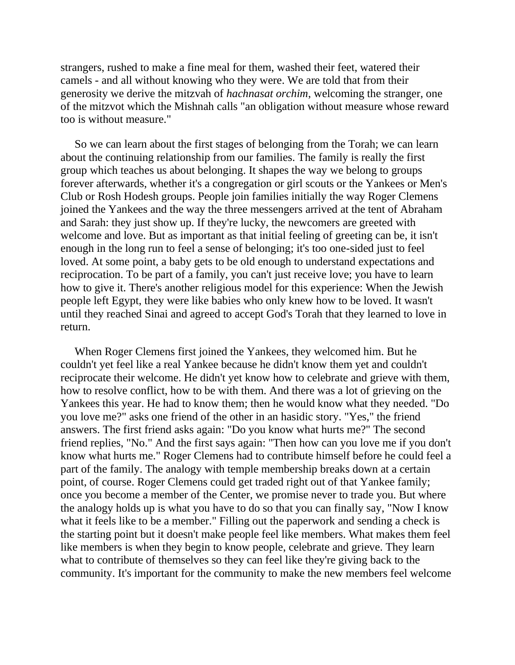strangers, rushed to make a fine meal for them, washed their feet, watered their camels - and all without knowing who they were. We are told that from their generosity we derive the mitzvah of *hachnasat orchim*, welcoming the stranger, one of the mitzvot which the Mishnah calls "an obligation without measure whose reward too is without measure."

 So we can learn about the first stages of belonging from the Torah; we can learn about the continuing relationship from our families. The family is really the first group which teaches us about belonging. It shapes the way we belong to groups forever afterwards, whether it's a congregation or girl scouts or the Yankees or Men's Club or Rosh Hodesh groups. People join families initially the way Roger Clemens joined the Yankees and the way the three messengers arrived at the tent of Abraham and Sarah: they just show up. If they're lucky, the newcomers are greeted with welcome and love. But as important as that initial feeling of greeting can be, it isn't enough in the long run to feel a sense of belonging; it's too one-sided just to feel loved. At some point, a baby gets to be old enough to understand expectations and reciprocation. To be part of a family, you can't just receive love; you have to learn how to give it. There's another religious model for this experience: When the Jewish people left Egypt, they were like babies who only knew how to be loved. It wasn't until they reached Sinai and agreed to accept God's Torah that they learned to love in return.

 When Roger Clemens first joined the Yankees, they welcomed him. But he couldn't yet feel like a real Yankee because he didn't know them yet and couldn't reciprocate their welcome. He didn't yet know how to celebrate and grieve with them, how to resolve conflict, how to be with them. And there was a lot of grieving on the Yankees this year. He had to know them; then he would know what they needed. "Do you love me?" asks one friend of the other in an hasidic story. "Yes," the friend answers. The first friend asks again: "Do you know what hurts me?" The second friend replies, "No." And the first says again: "Then how can you love me if you don't know what hurts me." Roger Clemens had to contribute himself before he could feel a part of the family. The analogy with temple membership breaks down at a certain point, of course. Roger Clemens could get traded right out of that Yankee family; once you become a member of the Center, we promise never to trade you. But where the analogy holds up is what you have to do so that you can finally say, "Now I know what it feels like to be a member." Filling out the paperwork and sending a check is the starting point but it doesn't make people feel like members. What makes them feel like members is when they begin to know people, celebrate and grieve. They learn what to contribute of themselves so they can feel like they're giving back to the community. It's important for the community to make the new members feel welcome